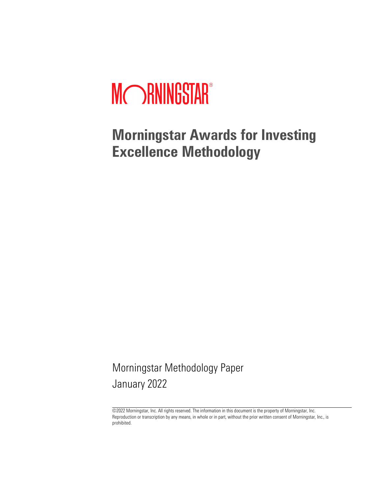# MCORNINGSTAR®

**Morningstar Awards for Investing Excellence Methodology** 

Morningstar Methodology Paper January 2022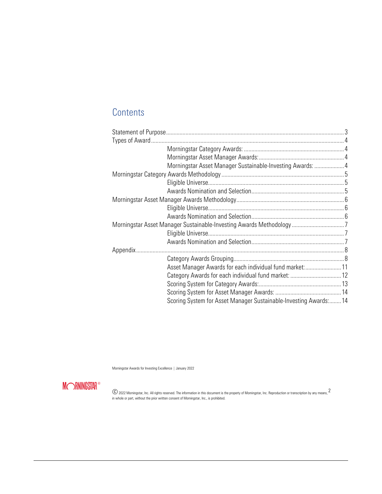# **Contents**

| Morningstar Asset Manager Sustainable-Investing Awards:  4       |  |
|------------------------------------------------------------------|--|
|                                                                  |  |
|                                                                  |  |
|                                                                  |  |
|                                                                  |  |
|                                                                  |  |
|                                                                  |  |
|                                                                  |  |
|                                                                  |  |
|                                                                  |  |
|                                                                  |  |
|                                                                  |  |
| Asset Manager Awards for each individual fund market:11          |  |
| Category Awards for each individual fund market:  12             |  |
|                                                                  |  |
|                                                                  |  |
| Scoring System for Asset Manager Sustainable-Investing Awards:14 |  |
|                                                                  |  |

Morningstar Awards for Investing Excellence | January 2022

**MORNINGSTAR®**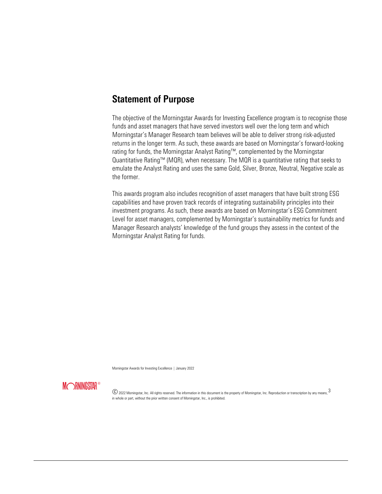## Statement of Purpose

The objective of the Morningstar Awards for Investing Excellence program is to recognise those funds and asset managers that have served investors well over the long term and which Morningstar's Manager Research team believes will be able to deliver strong risk-adjusted returns in the longer term. As such, these awards are based on Morningstar's forward-looking rating for funds, the Morningstar Analyst Rating™, complemented by the Morningstar Quantitative Rating™ (MQR), when necessary. The MQR is a quantitative rating that seeks to emulate the Analyst Rating and uses the same Gold, Silver, Bronze, Neutral, Negative scale as the former.

This awards program also includes recognition of asset managers that have built strong ESG capabilities and have proven track records of integrating sustainability principles into their investment programs. As such, these awards are based on Morningstar's ESG Commitment Level for asset managers, complemented by Morningstar's sustainability metrics for funds and Manager Research analysts' knowledge of the fund groups they assess in the context of the Morningstar Analyst Rating for funds.

Morningstar Awards for Investing Excellence | January 2022

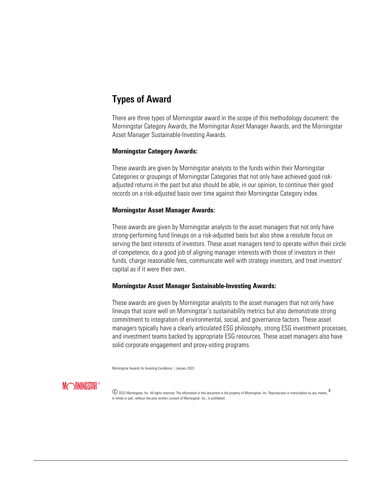## Types of Award

There are three types of Morningstar award in the scope of this methodology document: the Morningstar Category Awards, the Morningstar Asset Manager Awards, and the Morningstar Asset Manager Sustainable-Investing Awards.

#### **Morningstar Category Awards:**

These awards are given by Morningstar analysts to the funds within their Morningstar Categories or groupings of Morningstar Categories that not only have achieved good riskadjusted returns in the past but also should be able, in our opinion, to continue their good records on a risk-adjusted basis over time against their Morningstar Category index.

#### **Morningstar Asset Manager Awards:**

These awards are given by Morningstar analysts to the asset managers that not only have strong-performing fund lineups on a risk-adjusted basis but also show a resolute focus on serving the best interests of investors. These asset managers tend to operate within their circle of competence, do a good job of aligning manager interests with those of investors in their funds, charge reasonable fees, communicate well with strategy investors, and treat investors' capital as if it were their own.

#### **Morningstar Asset Manager Sustainable-Investing Awards:**

These awards are given by Morningstar analysts to the asset managers that not only have lineups that score well on Morningstar's sustainability metrics but also demonstrate strong commitment to integration of environmental, social, and governance factors. These asset managers typically have a clearly articulated ESG philosophy, strong ESG investment processes, and investment teams backed by appropriate ESG resources. These asset managers also have solid corporate engagement and proxy-voting programs.

Morningstar Awards for Investing Excellence | January 2022

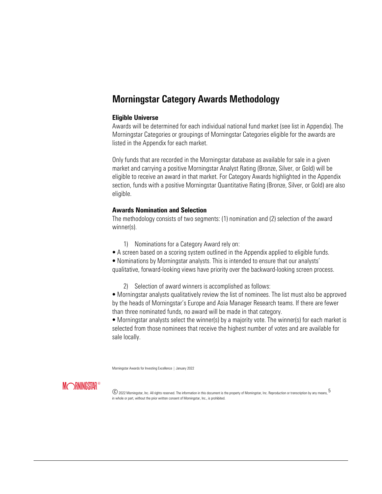## Morningstar Category Awards Methodology

#### **Eligible Universe**

Awards will be determined for each individual national fund market (see list in Appendix). The Morningstar Categories or groupings of Morningstar Categories eligible for the awards are listed in the Appendix for each market.

Only funds that are recorded in the Morningstar database as available for sale in a given market and carrying a positive Morningstar Analyst Rating (Bronze, Silver, or Gold) will be eligible to receive an award in that market. For Category Awards highlighted in the Appendix section, funds with a positive Morningstar Quantitative Rating (Bronze, Silver, or Gold) are also eligible.

#### **Awards Nomination and Selection**

The methodology consists of two segments: (1) nomination and (2) selection of the award winner(s).

- 1) Nominations for a Category Award rely on:
- A screen based on a scoring system outlined in the Appendix applied to eligible funds.

• Nominations by Morningstar analysts. This is intended to ensure that our analysts' qualitative, forward-looking views have priority over the backward-looking screen process.

2) Selection of award winners is accomplished as follows:

• Morningstar analysts qualitatively review the list of nominees. The list must also be approved by the heads of Morningstar's Europe and Asia Manager Research teams. If there are fewer than three nominated funds, no award will be made in that category.

• Morningstar analysts select the winner(s) by a majority vote. The winner(s) for each market is selected from those nominees that receive the highest number of votes and are available for sale locally.

Morningstar Awards for Investing Excellence | January 2022

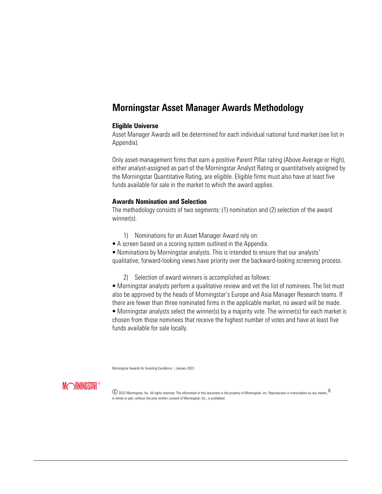## Morningstar Asset Manager Awards Methodology

#### **Eligible Universe**

Asset Manager Awards will be determined for each individual national fund market (see list in Appendix).

Only asset-management firms that earn a positive Parent Pillar rating (Above Average or High), either analyst-assigned as part of the Morningstar Analyst Rating or quantitatively assigned by the Morningstar Quantitative Rating, are eligible. Eligible firms must also have at least five funds available for sale in the market to which the award applies.

#### **Awards Nomination and Selection**

The methodology consists of two segments: (1) nomination and (2) selection of the award winner(s).

- 1) Nominations for an Asset Manager Award rely on:
- A screen based on a scoring system outlined in the Appendix.

• Nominations by Morningstar analysts. This is intended to ensure that our analysts' qualitative, forward-looking views have priority over the backward-looking screening process.

2) Selection of award winners is accomplished as follows:

• Morningstar analysts perform a qualitative review and vet the list of nominees. The list must also be approved by the heads of Morningstar's Europe and Asia Manager Research teams. If there are fewer than three nominated firms in the applicable market, no award will be made.

• Morningstar analysts select the winner(s) by a majority vote. The winner(s) for each market is chosen from those nominees that receive the highest number of votes and have at least five funds available for sale locally.

Morningstar Awards for Investing Excellence | January 2022

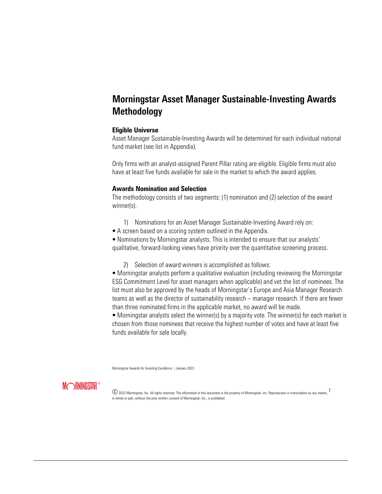## Morningstar Asset Manager Sustainable-Investing Awards Methodology

#### **Eligible Universe**

Asset Manager Sustainable-Investing Awards will be determined for each individual national fund market (see list in Appendix).

Only firms with an analyst-assigned Parent Pillar rating are eligible. Eligible firms must also have at least five funds available for sale in the market to which the award applies.

#### **Awards Nomination and Selection**

The methodology consists of two segments: (1) nomination and (2) selection of the award winner(s).

- 1) Nominations for an Asset Manager Sustainable-Investing Award rely on:
- A screen based on a scoring system outlined in the Appendix.

• Nominations by Morningstar analysts. This is intended to ensure that our analysts' qualitative, forward-looking views have priority over the quantitative screening process.

2) Selection of award winners is accomplished as follows:

• Morningstar analysts perform a qualitative evaluation (including reviewing the Morningstar ESG Commitment Level for asset managers when applicable) and vet the list of nominees. The list must also be approved by the heads of Morningstar's Europe and Asia Manager Research teams as well as the director of sustainability research – manager research. If there are fewer than three nominated firms in the applicable market, no award will be made.

• Morningstar analysts select the winner(s) by a majority vote. The winner(s) for each market is chosen from those nominees that receive the highest number of votes and have at least five funds available for sale locally.

Morningstar Awards for Investing Excellence | January 2022

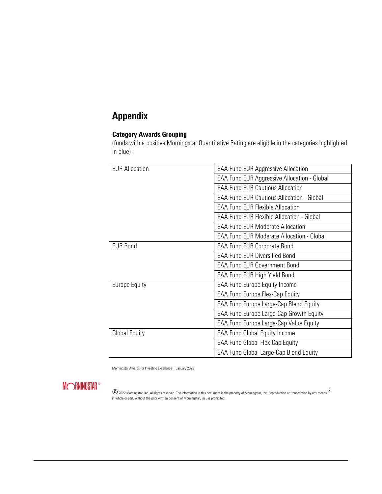# Appendix

## **Category Awards Grouping**

(funds with a positive Morningstar Quantitative Rating are eligible in the categories highlighted in blue) :

| <b>EAA Fund EUR Aggressive Allocation</b>          |  |  |  |
|----------------------------------------------------|--|--|--|
| <b>EAA Fund EUR Aggressive Allocation - Global</b> |  |  |  |
| <b>EAA Fund EUR Cautious Allocation</b>            |  |  |  |
| <b>EAA Fund EUR Cautious Allocation - Global</b>   |  |  |  |
| <b>EAA Fund EUR Flexible Allocation</b>            |  |  |  |
| <b>EAA Fund EUR Flexible Allocation - Global</b>   |  |  |  |
| <b>EAA Fund EUR Moderate Allocation</b>            |  |  |  |
| <b>EAA Fund EUR Moderate Allocation - Global</b>   |  |  |  |
| <b>EAA Fund EUR Corporate Bond</b>                 |  |  |  |
| <b>EAA Fund EUR Diversified Bond</b>               |  |  |  |
| <b>EAA Fund EUR Government Bond</b>                |  |  |  |
| EAA Fund EUR High Yield Bond                       |  |  |  |
| <b>EAA Fund Europe Equity Income</b>               |  |  |  |
| <b>EAA Fund Europe Flex-Cap Equity</b>             |  |  |  |
| EAA Fund Europe Large-Cap Blend Equity             |  |  |  |
| EAA Fund Europe Large-Cap Growth Equity            |  |  |  |
| EAA Fund Europe Large-Cap Value Equity             |  |  |  |
| <b>EAA Fund Global Equity Income</b>               |  |  |  |
| <b>EAA Fund Global Flex-Cap Equity</b>             |  |  |  |
| EAA Fund Global Large-Cap Blend Equity             |  |  |  |
|                                                    |  |  |  |

Morningstar Awards for Investing Excellence | January 2022

**MORNINGSTAR®**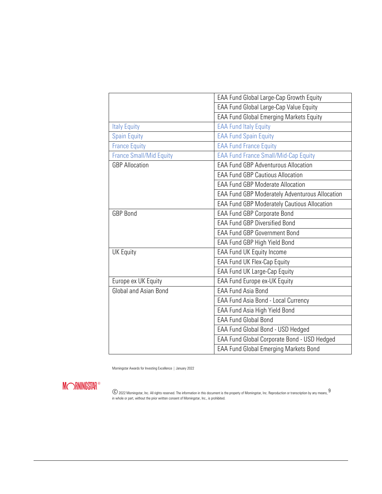|                                | EAA Fund Global Large-Cap Growth Equity               |  |  |  |
|--------------------------------|-------------------------------------------------------|--|--|--|
|                                | EAA Fund Global Large-Cap Value Equity                |  |  |  |
|                                | <b>EAA Fund Global Emerging Markets Equity</b>        |  |  |  |
| <b>Italy Equity</b>            | <b>EAA Fund Italy Equity</b>                          |  |  |  |
| <b>Spain Equity</b>            | <b>EAA Fund Spain Equity</b>                          |  |  |  |
| <b>France Equity</b>           | <b>EAA Fund France Equity</b>                         |  |  |  |
| <b>France Small/Mid Equity</b> | <b>EAA Fund France Small/Mid-Cap Equity</b>           |  |  |  |
| <b>GBP Allocation</b>          | <b>EAA Fund GBP Adventurous Allocation</b>            |  |  |  |
|                                | <b>EAA Fund GBP Cautious Allocation</b>               |  |  |  |
|                                | <b>EAA Fund GBP Moderate Allocation</b>               |  |  |  |
|                                | <b>EAA Fund GBP Moderately Adventurous Allocation</b> |  |  |  |
|                                | <b>EAA Fund GBP Moderately Cautious Allocation</b>    |  |  |  |
| <b>GBP Bond</b>                | <b>EAA Fund GBP Corporate Bond</b>                    |  |  |  |
|                                | <b>EAA Fund GBP Diversified Bond</b>                  |  |  |  |
|                                | <b>EAA Fund GBP Government Bond</b>                   |  |  |  |
|                                | EAA Fund GBP High Yield Bond                          |  |  |  |
| <b>UK Equity</b>               | <b>EAA</b> Fund UK Equity Income                      |  |  |  |
|                                | EAA Fund UK Flex-Cap Equity                           |  |  |  |
|                                | EAA Fund UK Large-Cap Equity                          |  |  |  |
| Europe ex UK Equity            | EAA Fund Europe ex-UK Equity                          |  |  |  |
| Global and Asian Bond          | <b>EAA Fund Asia Bond</b>                             |  |  |  |
|                                | EAA Fund Asia Bond - Local Currency                   |  |  |  |
|                                | EAA Fund Asia High Yield Bond                         |  |  |  |
|                                | <b>EAA Fund Global Bond</b>                           |  |  |  |
|                                | EAA Fund Global Bond - USD Hedged                     |  |  |  |
|                                | EAA Fund Global Corporate Bond - USD Hedged           |  |  |  |
|                                | <b>EAA Fund Global Emerging Markets Bond</b>          |  |  |  |

Morningstar Awards for Investing Excellence | January 2022

**MORNINGSTAR®**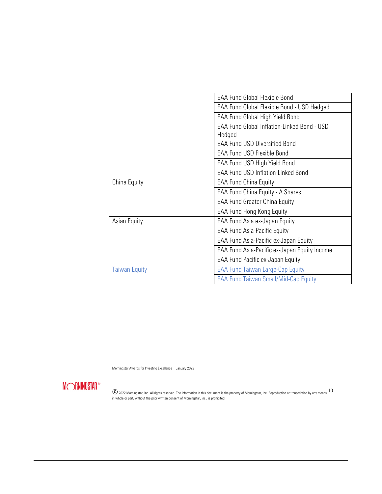|                      | <b>EAA Fund Global Flexible Bond</b>               |  |  |
|----------------------|----------------------------------------------------|--|--|
|                      | <b>EAA Fund Global Flexible Bond - USD Hedged</b>  |  |  |
|                      | EAA Fund Global High Yield Bond                    |  |  |
|                      | <b>EAA Fund Global Inflation-Linked Bond - USD</b> |  |  |
|                      | Hedged                                             |  |  |
|                      | <b>EAA Fund USD Diversified Bond</b>               |  |  |
|                      | <b>EAA Fund USD Flexible Bond</b>                  |  |  |
|                      | EAA Fund USD High Yield Bond                       |  |  |
|                      | <b>EAA Fund USD Inflation-Linked Bond</b>          |  |  |
| China Equity         | <b>EAA Fund China Equity</b>                       |  |  |
|                      | EAA Fund China Equity - A Shares                   |  |  |
|                      | <b>EAA Fund Greater China Equity</b>               |  |  |
|                      | <b>EAA Fund Hong Kong Equity</b>                   |  |  |
| Asian Equity         | EAA Fund Asia ex-Japan Equity                      |  |  |
|                      | <b>EAA Fund Asia-Pacific Equity</b>                |  |  |
|                      | EAA Fund Asia-Pacific ex-Japan Equity              |  |  |
|                      | EAA Fund Asia-Pacific ex-Japan Equity Income       |  |  |
|                      | EAA Fund Pacific ex-Japan Equity                   |  |  |
| <b>Taiwan Equity</b> | <b>EAA Fund Taiwan Large-Cap Equity</b>            |  |  |
|                      | <b>EAA Fund Taiwan Small/Mid-Cap Equity</b>        |  |  |

Morningstar Awards for Investing Excellence | January 2022

**MORNINGSTAR®**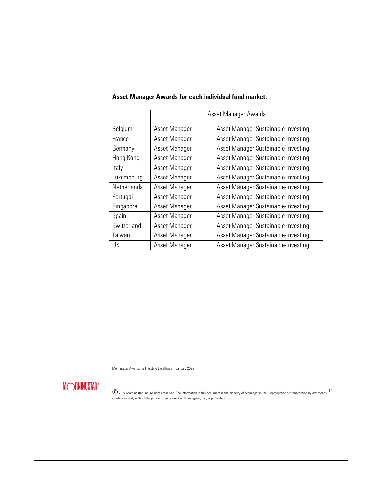|                    | Asset Manager Awards                                 |                                     |  |  |
|--------------------|------------------------------------------------------|-------------------------------------|--|--|
| Belgium            | Asset Manager Sustainable-Investing<br>Asset Manager |                                     |  |  |
| France             | Asset Manager                                        | Asset Manager Sustainable-Investing |  |  |
| Germany            | Asset Manager                                        | Asset Manager Sustainable-Investing |  |  |
| Hong Kong          | Asset Manager                                        | Asset Manager Sustainable-Investing |  |  |
| Italy              | Asset Manager                                        | Asset Manager Sustainable-Investing |  |  |
| Luxembourg         | Asset Manager                                        | Asset Manager Sustainable-Investing |  |  |
| <b>Netherlands</b> | Asset Manager                                        | Asset Manager Sustainable-Investing |  |  |
| Portugal           | Asset Manager                                        | Asset Manager Sustainable-Investing |  |  |
| Singapore          | Asset Manager                                        | Asset Manager Sustainable-Investing |  |  |
| Spain              | Asset Manager                                        | Asset Manager Sustainable-Investing |  |  |
| Switzerland        | Asset Manager                                        | Asset Manager Sustainable-Investing |  |  |
| Taiwan             | Asset Manager                                        | Asset Manager Sustainable-Investing |  |  |
| UK                 | Asset Manager                                        | Asset Manager Sustainable-Investing |  |  |

## **Asset Manager Awards for each individual fund market:**

Morningstar Awards for Investing Excellence | January 2022

**MORNINGSTAR®**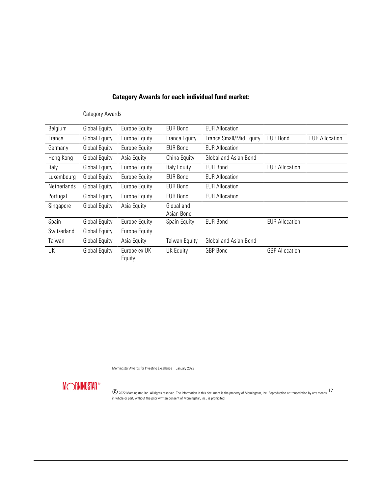|             | Category Awards |                        |                          |                         |                       |                       |
|-------------|-----------------|------------------------|--------------------------|-------------------------|-----------------------|-----------------------|
| Belgium     | Global Equity   | <b>Europe Equity</b>   | <b>EUR Bond</b>          | <b>EUR Allocation</b>   |                       |                       |
| France      | Global Equity   | Europe Equity          | France Equity            | France Small/Mid Equity | <b>EUR Bond</b>       | <b>EUR Allocation</b> |
| Germany     | Global Equity   | Europe Equity          | <b>EUR Bond</b>          | <b>EUR Allocation</b>   |                       |                       |
| Hong Kong   | Global Equity   | Asia Equity            | China Equity             | Global and Asian Bond   |                       |                       |
| Italy       | Global Equity   | Europe Equity          | Italy Equity             | EUR Bond                | <b>EUR Allocation</b> |                       |
| Luxembourg  | Global Equity   | <b>Europe Equity</b>   | <b>EUR Bond</b>          | <b>EUR Allocation</b>   |                       |                       |
| Netherlands | Global Equity   | <b>Europe Equity</b>   | <b>EUR Bond</b>          | <b>EUR Allocation</b>   |                       |                       |
| Portugal    | Global Equity   | <b>Europe Equity</b>   | <b>EUR Bond</b>          | <b>EUR Allocation</b>   |                       |                       |
| Singapore   | Global Equity   | Asia Equity            | Global and<br>Asian Bond |                         |                       |                       |
| Spain       | Global Equity   | <b>Europe Equity</b>   | Spain Equity             | <b>EUR Bond</b>         | <b>EUR Allocation</b> |                       |
| Switzerland | Global Equity   | Europe Equity          |                          |                         |                       |                       |
| Taiwan      | Global Equity   | Asia Equity            | Taiwan Equity            | Global and Asian Bond   |                       |                       |
| UK          | Global Equity   | Europe ex UK<br>Equity | UK Equity                | <b>GBP Bond</b>         | <b>GBP</b> Allocation |                       |

## **Category Awards for each individual fund market:**

Morningstar Awards for Investing Excellence | January 2022

**MORNINGSTAR®**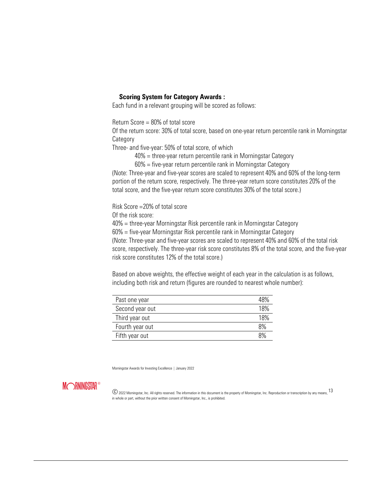#### **Scoring System for Category Awards :**

Each fund in a relevant grouping will be scored as follows:

Return Score = 80% of total score

Of the return score: 30% of total score, based on one-year return percentile rank in Morningstar **Category** 

Three- and five-year: 50% of total score, of which

40% = three-year return percentile rank in Morningstar Category

60% = five-year return percentile rank in Morningstar Category

(Note: Three-year and five-year scores are scaled to represent 40% and 60% of the long-term portion of the return score, respectively. The three-year return score constitutes 20% of the total score, and the five-year return score constitutes 30% of the total score.)

Risk Score =20% of total score

Of the risk score:

40% = three-year Morningstar Risk percentile rank in Morningstar Category

60% = five-year Morningstar Risk percentile rank in Morningstar Category

(Note: Three-year and five-year scores are scaled to represent 40% and 60% of the total risk score, respectively. The three-year risk score constitutes 8% of the total score, and the five-year risk score constitutes 12% of the total score.)

Based on above weights, the effective weight of each year in the calculation is as follows, including both risk and return (figures are rounded to nearest whole number):

| Past one year   | 48% |
|-----------------|-----|
| Second year out | 18% |
| Third year out  | 18% |
| Fourth year out | 8%  |
| Fifth year out  | R%  |

Morningstar Awards for Investing Excellence | January 2022